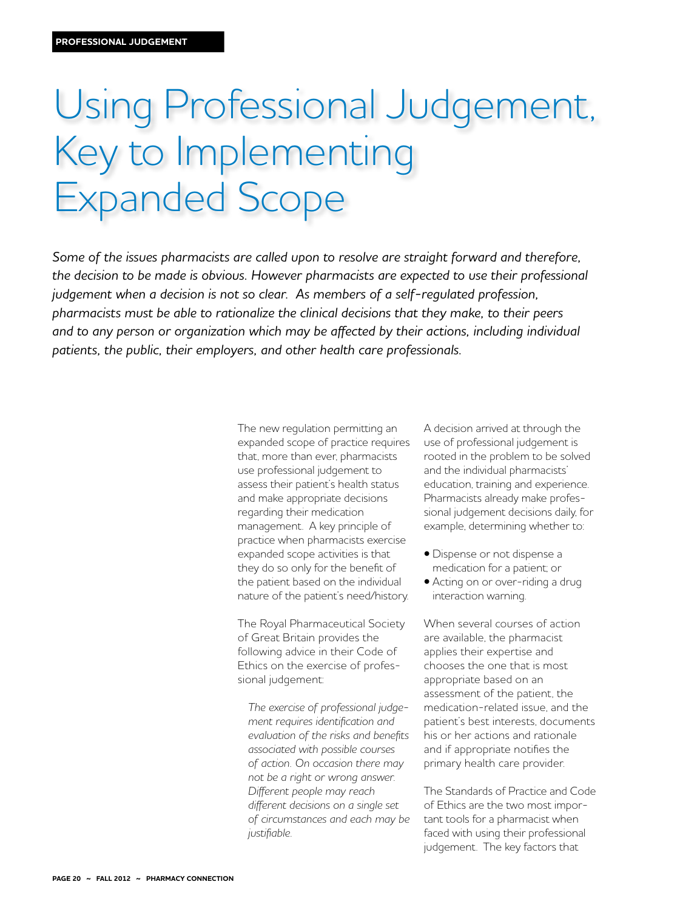# Using Professional Judgement, Key to Implementing Expanded Scope

*Some of the issues pharmacists are called upon to resolve are straight forward and therefore, the decision to be made is obvious. However pharmacists are expected to use their professional judgement when a decision is not so clear. As members of a self-regulated profession, pharmacists must be able to rationalize the clinical decisions that they make, to their peers and to any person or organization which may be affected by their actions, including individual patients, the public, their employers, and other health care professionals.* 

> The new regulation permitting an expanded scope of practice requires that, more than ever, pharmacists use professional judgement to assess their patient's health status and make appropriate decisions regarding their medication management. A key principle of practice when pharmacists exercise expanded scope activities is that they do so only for the benefit of the patient based on the individual nature of the patient's need/history.

The Royal Pharmaceutical Society of Great Britain provides the following advice in their Code of Ethics on the exercise of professional judgement:

*The exercise of professional judgement requires identification and evaluation of the risks and benefits associated with possible courses of action. On occasion there may not be a right or wrong answer. Different people may reach different decisions on a single set of circumstances and each may be justifiable.*

A decision arrived at through the use of professional judgement is rooted in the problem to be solved and the individual pharmacists' education, training and experience. Pharmacists already make professional judgement decisions daily, for example, determining whether to:

- Dispense or not dispense a medication for a patient; or
- Acting on or over-riding a drug interaction warning.

When several courses of action are available, the pharmacist applies their expertise and chooses the one that is most appropriate based on an assessment of the patient, the medication-related issue, and the patient's best interests, documents his or her actions and rationale and if appropriate notifies the primary health care provider.

The Standards of Practice and Code of Ethics are the two most important tools for a pharmacist when faced with using their professional judgement. The key factors that